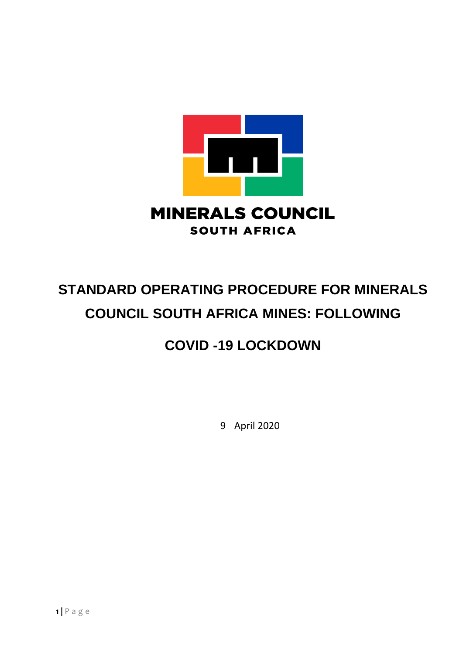

# **STANDARD OPERATING PROCEDURE FOR MINERALS COUNCIL SOUTH AFRICA MINES: FOLLOWING**

## **COVID -19 LOCKDOWN**

9 April 2020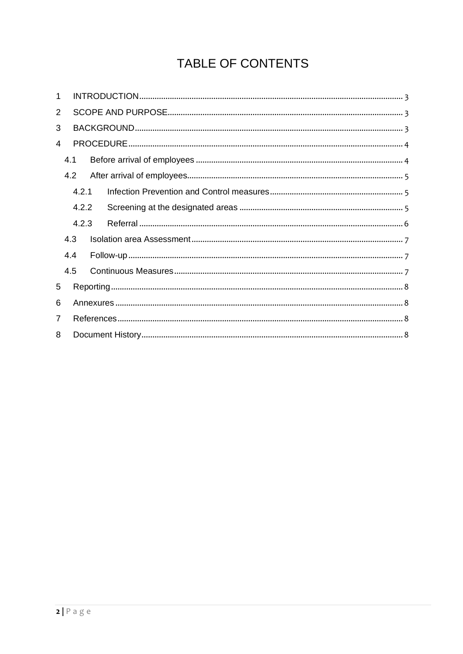## TABLE OF CONTENTS

| 1 |                |       |  |  |
|---|----------------|-------|--|--|
| 2 |                |       |  |  |
| 3 |                |       |  |  |
| 4 |                |       |  |  |
|   | 4.1            |       |  |  |
|   | 4.2            |       |  |  |
|   | 4.2.1<br>4.2.2 |       |  |  |
|   |                |       |  |  |
|   |                | 4.2.3 |  |  |
|   | 4.3            |       |  |  |
|   | 4.4            |       |  |  |
|   | 4.5            |       |  |  |
| 5 |                |       |  |  |
| 6 |                |       |  |  |
| 7 |                |       |  |  |
| 8 |                |       |  |  |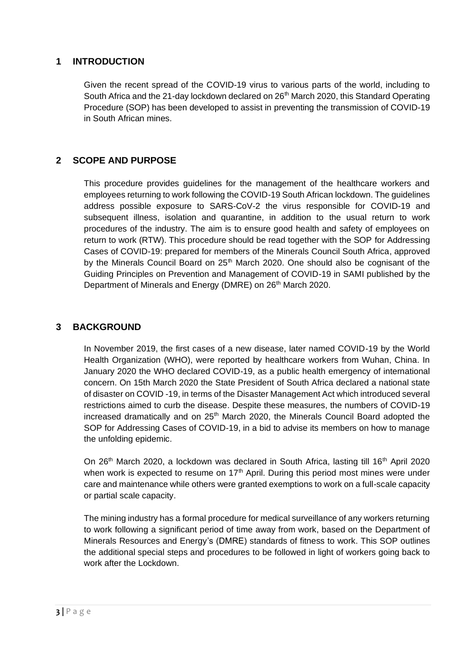## <span id="page-2-0"></span>**1 INTRODUCTION**

Given the recent spread of the COVID-19 virus to various parts of the world, including to South Africa and the 21-day lockdown declared on 26<sup>th</sup> March 2020, this Standard Operating Procedure (SOP) has been developed to assist in preventing the transmission of COVID-19 in South African mines.

## <span id="page-2-1"></span>**2 SCOPE AND PURPOSE**

This procedure provides guidelines for the management of the healthcare workers and employees returning to work following the COVID-19 South African lockdown. The guidelines address possible exposure to SARS-CoV-2 the virus responsible for COVID-19 and subsequent illness, isolation and quarantine, in addition to the usual return to work procedures of the industry. The aim is to ensure good health and safety of employees on return to work (RTW). This procedure should be read together with the SOP for Addressing Cases of COVID-19: prepared for members of the Minerals Council South Africa, approved by the Minerals Council Board on  $25<sup>th</sup>$  March 2020. One should also be cognisant of the Guiding Principles on Prevention and Management of COVID-19 in SAMI published by the Department of Minerals and Energy (DMRE) on 26<sup>th</sup> March 2020.

## <span id="page-2-2"></span>**3 BACKGROUND**

In November 2019, the first cases of a new disease, later named COVID-19 by the World Health Organization (WHO), were reported by healthcare workers from Wuhan, China. In January 2020 the WHO declared COVID-19, as a public health emergency of international concern. On 15th March 2020 the State President of South Africa declared a national state of disaster on COVID -19, in terms of the Disaster Management Act which introduced several restrictions aimed to curb the disease. Despite these measures, the numbers of COVID-19 increased dramatically and on 25<sup>th</sup> March 2020, the Minerals Council Board adopted the SOP for Addressing Cases of COVID-19, in a bid to advise its members on how to manage the unfolding epidemic.

On 26<sup>th</sup> March 2020, a lockdown was declared in South Africa, lasting till 16<sup>th</sup> April 2020 when work is expected to resume on  $17<sup>th</sup>$  April. During this period most mines were under care and maintenance while others were granted exemptions to work on a full-scale capacity or partial scale capacity.

The mining industry has a formal procedure for medical surveillance of any workers returning to work following a significant period of time away from work, based on the Department of Minerals Resources and Energy's (DMRE) standards of fitness to work. This SOP outlines the additional special steps and procedures to be followed in light of workers going back to work after the Lockdown.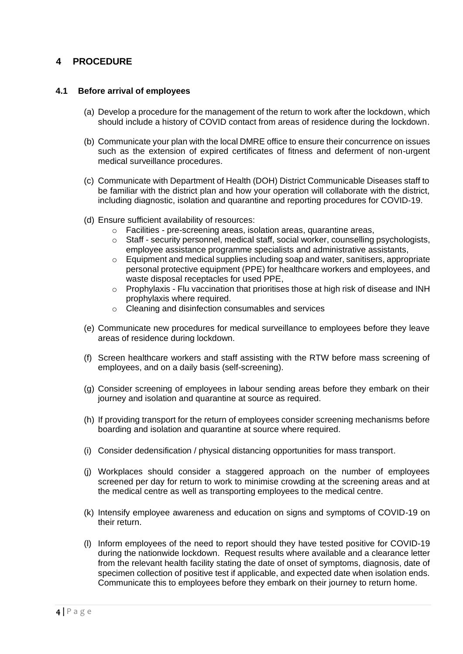## <span id="page-3-0"></span>**4 PROCEDURE**

#### <span id="page-3-1"></span>**4.1 Before arrival of employees**

- (a) Develop a procedure for the management of the return to work after the lockdown, which should include a history of COVID contact from areas of residence during the lockdown.
- (b) Communicate your plan with the local DMRE office to ensure their concurrence on issues such as the extension of expired certificates of fitness and deferment of non-urgent medical surveillance procedures.
- (c) Communicate with Department of Health (DOH) District Communicable Diseases staff to be familiar with the district plan and how your operation will collaborate with the district, including diagnostic, isolation and quarantine and reporting procedures for COVID-19.
- (d) Ensure sufficient availability of resources:
	- o Facilities pre-screening areas, isolation areas, quarantine areas,
	- $\circ$  Staff security personnel, medical staff, social worker, counselling psychologists, employee assistance programme specialists and administrative assistants,
	- o Equipment and medical supplies including soap and water, sanitisers, appropriate personal protective equipment (PPE) for healthcare workers and employees, and waste disposal receptacles for used PPE,
	- $\circ$  Prophylaxis Flu vaccination that prioritises those at high risk of disease and INH prophylaxis where required.
	- o Cleaning and disinfection consumables and services
- (e) Communicate new procedures for medical surveillance to employees before they leave areas of residence during lockdown.
- (f) Screen healthcare workers and staff assisting with the RTW before mass screening of employees, and on a daily basis (self-screening).
- (g) Consider screening of employees in labour sending areas before they embark on their journey and isolation and quarantine at source as required.
- (h) If providing transport for the return of employees consider screening mechanisms before boarding and isolation and quarantine at source where required.
- (i) Consider dedensification / physical distancing opportunities for mass transport.
- (j) Workplaces should consider a staggered approach on the number of employees screened per day for return to work to minimise crowding at the screening areas and at the medical centre as well as transporting employees to the medical centre.
- (k) Intensify employee awareness and education on signs and symptoms of COVID-19 on their return.
- (l) Inform employees of the need to report should they have tested positive for COVID-19 during the nationwide lockdown. Request results where available and a clearance letter from the relevant health facility stating the date of onset of symptoms, diagnosis, date of specimen collection of positive test if applicable, and expected date when isolation ends. Communicate this to employees before they embark on their journey to return home.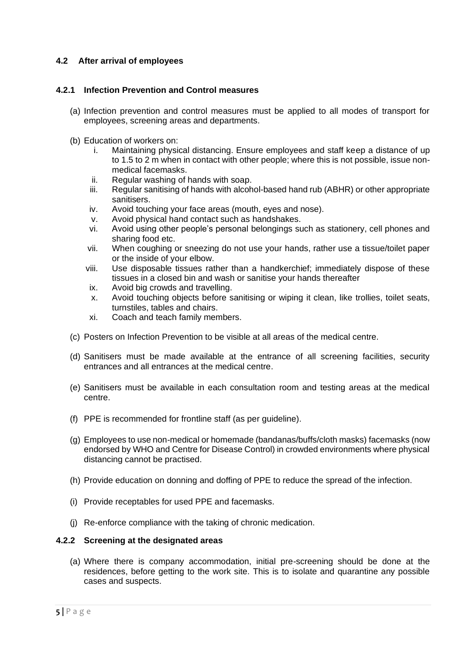#### <span id="page-4-0"></span>**4.2 After arrival of employees**

#### <span id="page-4-1"></span>**4.2.1 Infection Prevention and Control measures**

- (a) Infection prevention and control measures must be applied to all modes of transport for employees, screening areas and departments.
- (b) Education of workers on:
	- i. Maintaining physical distancing. Ensure employees and staff keep a distance of up to 1.5 to 2 m when in contact with other people; where this is not possible, issue nonmedical facemasks.
	- ii. Regular washing of hands with soap.
	- iii. Regular sanitising of hands with alcohol-based hand rub (ABHR) or other appropriate sanitisers.
	- iv. Avoid touching your face areas (mouth, eyes and nose).
	- v. Avoid physical hand contact such as handshakes.
	- vi. Avoid using other people's personal belongings such as stationery, cell phones and sharing food etc.
	- vii. When coughing or sneezing do not use your hands, rather use a tissue/toilet paper or the inside of your elbow.
	- viii. Use disposable tissues rather than a handkerchief; immediately dispose of these tissues in a closed bin and wash or sanitise your hands thereafter
	- ix. Avoid big crowds and travelling.
	- x. Avoid touching objects before sanitising or wiping it clean, like trollies, toilet seats, turnstiles, tables and chairs.
	- xi. Coach and teach family members.
- (c) Posters on Infection Prevention to be visible at all areas of the medical centre.
- (d) Sanitisers must be made available at the entrance of all screening facilities, security entrances and all entrances at the medical centre.
- (e) Sanitisers must be available in each consultation room and testing areas at the medical centre.
- (f) PPE is recommended for frontline staff (as per guideline).
- (g) Employees to use non-medical or homemade (bandanas/buffs/cloth masks) facemasks (now endorsed by WHO and Centre for Disease Control) in crowded environments where physical distancing cannot be practised.
- (h) Provide education on donning and doffing of PPE to reduce the spread of the infection.
- (i) Provide receptables for used PPE and facemasks.
- (j) Re-enforce compliance with the taking of chronic medication.

#### <span id="page-4-2"></span>**4.2.2 Screening at the designated areas**

(a) Where there is company accommodation, initial pre-screening should be done at the residences, before getting to the work site. This is to isolate and quarantine any possible cases and suspects.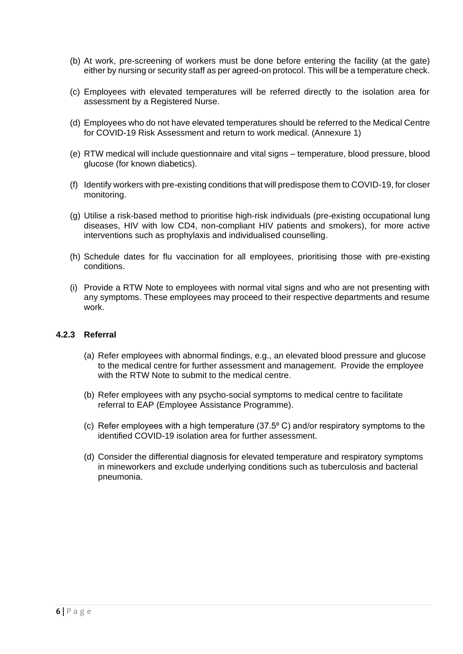- (b) At work, pre-screening of workers must be done before entering the facility (at the gate) either by nursing or security staff as per agreed-on protocol. This will be a temperature check.
- (c) Employees with elevated temperatures will be referred directly to the isolation area for assessment by a Registered Nurse.
- (d) Employees who do not have elevated temperatures should be referred to the Medical Centre for COVID-19 Risk Assessment and return to work medical. (Annexure 1)
- (e) RTW medical will include questionnaire and vital signs temperature, blood pressure, blood glucose (for known diabetics).
- (f) Identify workers with pre-existing conditions that will predispose them to COVID-19, for closer monitoring.
- (g) Utilise a risk-based method to prioritise high-risk individuals (pre-existing occupational lung diseases, HIV with low CD4, non-compliant HIV patients and smokers), for more active interventions such as prophylaxis and individualised counselling.
- (h) Schedule dates for flu vaccination for all employees, prioritising those with pre-existing conditions.
- (i) Provide a RTW Note to employees with normal vital signs and who are not presenting with any symptoms. These employees may proceed to their respective departments and resume work.

#### <span id="page-5-0"></span>**4.2.3 Referral**

- (a) Refer employees with abnormal findings, e.g., an elevated blood pressure and glucose to the medical centre for further assessment and management. Provide the employee with the RTW Note to submit to the medical centre.
- (b) Refer employees with any psycho-social symptoms to medical centre to facilitate referral to EAP (Employee Assistance Programme).
- (c) Refer employees with a high temperature  $(37.5\degree C)$  and/or respiratory symptoms to the identified COVID-19 isolation area for further assessment.
- (d) Consider the differential diagnosis for elevated temperature and respiratory symptoms in mineworkers and exclude underlying conditions such as tuberculosis and bacterial pneumonia.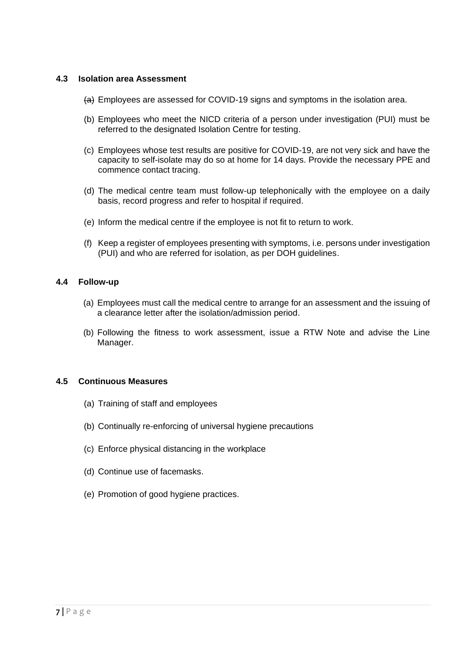#### <span id="page-6-0"></span>**4.3 Isolation area Assessment**

- (a) Employees are assessed for COVID-19 signs and symptoms in the isolation area.
- (b) Employees who meet the NICD criteria of a person under investigation (PUI) must be referred to the designated Isolation Centre for testing.
- (c) Employees whose test results are positive for COVID-19, are not very sick and have the capacity to self-isolate may do so at home for 14 days. Provide the necessary PPE and commence contact tracing.
- (d) The medical centre team must follow-up telephonically with the employee on a daily basis, record progress and refer to hospital if required.
- (e) Inform the medical centre if the employee is not fit to return to work.
- (f) Keep a register of employees presenting with symptoms, i.e. persons under investigation (PUI) and who are referred for isolation, as per DOH guidelines.

#### <span id="page-6-1"></span>**4.4 Follow-up**

- (a) Employees must call the medical centre to arrange for an assessment and the issuing of a clearance letter after the isolation/admission period.
- (b) Following the fitness to work assessment, issue a RTW Note and advise the Line Manager.

#### <span id="page-6-2"></span>**4.5 Continuous Measures**

- (a) Training of staff and employees
- (b) Continually re-enforcing of universal hygiene precautions
- (c) Enforce physical distancing in the workplace
- (d) Continue use of facemasks.
- (e) Promotion of good hygiene practices.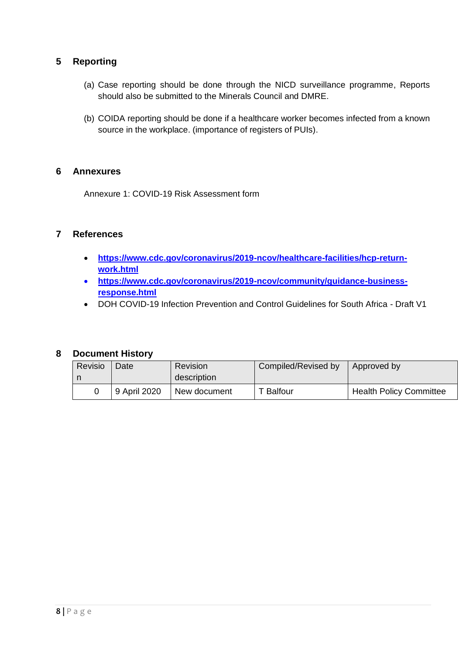## <span id="page-7-0"></span>**5 Reporting**

- (a) Case reporting should be done through the NICD surveillance programme, Reports should also be submitted to the Minerals Council and DMRE.
- (b) COIDA reporting should be done if a healthcare worker becomes infected from a known source in the workplace. (importance of registers of PUIs).

#### <span id="page-7-1"></span>**6 Annexures**

Annexure 1: COVID-19 Risk Assessment form

## <span id="page-7-2"></span>**7 References**

- **[https://www.cdc.gov/coronavirus/2019-ncov/healthcare-facilities/hcp-return](https://www.cdc.gov/coronavirus/2019-ncov/healthcare-facilities/hcp-return-work.html)[work.html](https://www.cdc.gov/coronavirus/2019-ncov/healthcare-facilities/hcp-return-work.html)**
- **[https://www.cdc.gov/coronavirus/2019-ncov/community/guidance-business](https://www.cdc.gov/coronavirus/2019-ncov/community/guidance-business-response.html)[response.html](https://www.cdc.gov/coronavirus/2019-ncov/community/guidance-business-response.html)**
- DOH COVID-19 Infection Prevention and Control Guidelines for South Africa Draft V1

#### <span id="page-7-3"></span>**8 Document History**

| Revisio | Date         | Revision<br>description | Compiled/Revised by | Approved by                    |
|---------|--------------|-------------------------|---------------------|--------------------------------|
|         | 9 April 2020 | New document            | <b>T</b> Balfour    | <b>Health Policy Committee</b> |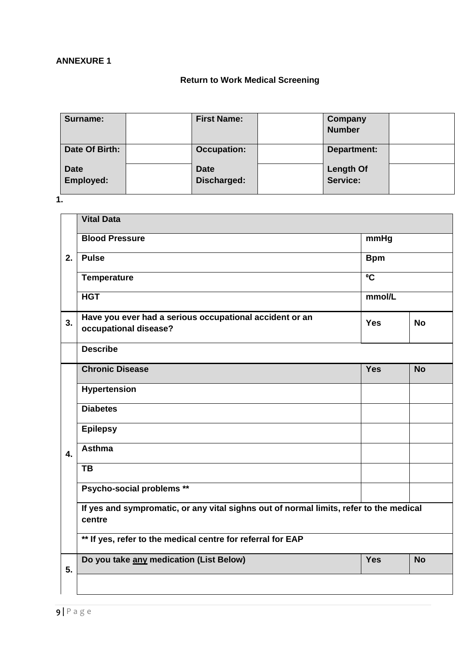## **ANNEXURE 1**

## **Return to Work Medical Screening**

| Surname:                 | <b>First Name:</b>         | Company<br><b>Number</b>     |  |
|--------------------------|----------------------------|------------------------------|--|
| Date Of Birth:           | <b>Occupation:</b>         | Department:                  |  |
| <b>Date</b><br>Employed: | <b>Date</b><br>Discharged: | <b>Length Of</b><br>Service: |  |

**1.**

|                  | <b>Vital Data</b>                                                                                |                |           |  |  |
|------------------|--------------------------------------------------------------------------------------------------|----------------|-----------|--|--|
|                  | <b>Blood Pressure</b>                                                                            |                | mmHg      |  |  |
| 2.               | <b>Pulse</b>                                                                                     | <b>Bpm</b>     |           |  |  |
|                  | Temperature                                                                                      | $\overline{C}$ |           |  |  |
|                  | <b>HGT</b>                                                                                       | mmol/L         |           |  |  |
| 3.               | Have you ever had a serious occupational accident or an<br>occupational disease?                 | <b>Yes</b>     | <b>No</b> |  |  |
|                  | <b>Describe</b>                                                                                  |                |           |  |  |
|                  | <b>Chronic Disease</b>                                                                           | <b>Yes</b>     | <b>No</b> |  |  |
|                  | <b>Hypertension</b>                                                                              |                |           |  |  |
|                  | <b>Diabetes</b>                                                                                  |                |           |  |  |
|                  | <b>Epilepsy</b>                                                                                  |                |           |  |  |
| $\overline{4}$ . | <b>Asthma</b>                                                                                    |                |           |  |  |
|                  | <b>TB</b>                                                                                        |                |           |  |  |
|                  | Psycho-social problems **                                                                        |                |           |  |  |
|                  | If yes and sympromatic, or any vital sighns out of normal limits, refer to the medical<br>centre |                |           |  |  |
|                  | ** If yes, refer to the medical centre for referral for EAP                                      |                |           |  |  |
| 5.               | Do you take any medication (List Below)                                                          | <b>Yes</b>     | <b>No</b> |  |  |
|                  |                                                                                                  |                |           |  |  |